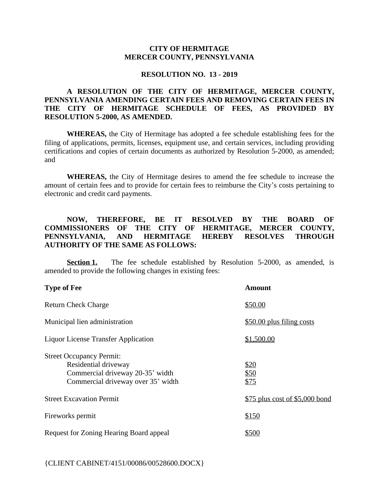## **CITY OF HERMITAGE MERCER COUNTY, PENNSYLVANIA**

#### **RESOLUTION NO. 13 - 2019**

## **A RESOLUTION OF THE CITY OF HERMITAGE, MERCER COUNTY, PENNSYLVANIA AMENDING CERTAIN FEES AND REMOVING CERTAIN FEES IN THE CITY OF HERMITAGE SCHEDULE OF FEES, AS PROVIDED BY RESOLUTION 5-2000, AS AMENDED.**

**WHEREAS,** the City of Hermitage has adopted a fee schedule establishing fees for the filing of applications, permits, licenses, equipment use, and certain services, including providing certifications and copies of certain documents as authorized by Resolution 5-2000, as amended; and

**WHEREAS,** the City of Hermitage desires to amend the fee schedule to increase the amount of certain fees and to provide for certain fees to reimburse the City's costs pertaining to electronic and credit card payments.

# **NOW, THEREFORE, BE IT RESOLVED BY THE BOARD OF COMMISSIONERS OF THE CITY OF HERMITAGE, MERCER COUNTY, PENNSYLVANIA, AND HERMITAGE HEREBY RESOLVES THROUGH AUTHORITY OF THE SAME AS FOLLOWS:**

**Section 1.** The fee schedule established by Resolution 5-2000, as amended, is amended to provide the following changes in existing fees:

| <b>Type of Fee</b>                                                                                                                | <b>Amount</b>                   |
|-----------------------------------------------------------------------------------------------------------------------------------|---------------------------------|
| <b>Return Check Charge</b>                                                                                                        | \$50.00                         |
| Municipal lien administration                                                                                                     | \$50.00 plus filing costs       |
| Liquor License Transfer Application                                                                                               | \$1,500.00                      |
| <b>Street Occupancy Permit:</b><br>Residential driveway<br>Commercial driveway 20-35' width<br>Commercial driveway over 35' width | \$20<br>\$50<br>\$75            |
| <b>Street Excavation Permit</b>                                                                                                   | $$75$ plus cost of \$5,000 bond |
| Fireworks permit                                                                                                                  | \$150                           |
| Request for Zoning Hearing Board appeal                                                                                           | \$500                           |